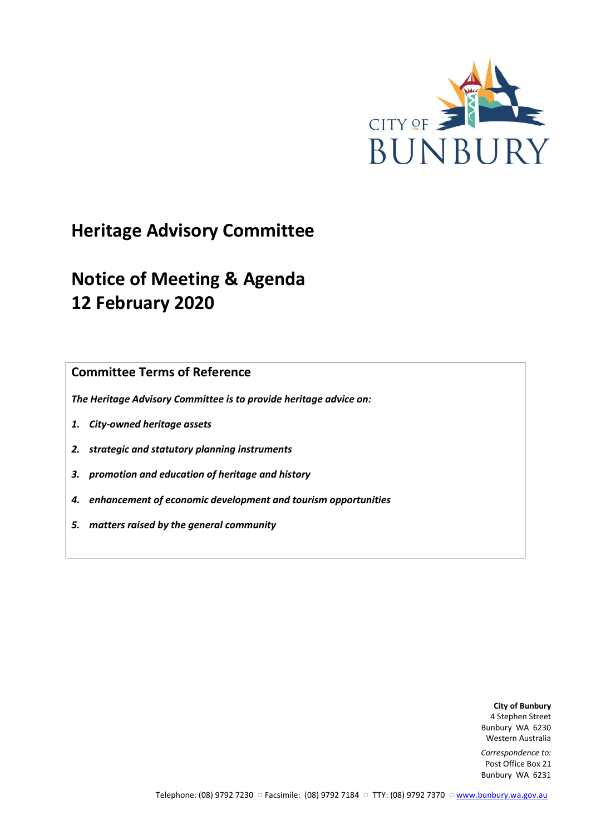

# **Heritage Advisory Committee**

# **Notice of Meeting & Agenda 12 February 2020**

**Committee Terms of Reference**

*The Heritage Advisory Committee is to provide heritage advice on:*

- *1. City-owned heritage assets*
- *2. strategic and statutory planning instruments*
- *3. promotion and education of heritage and history*
- *4. enhancement of economic development and tourism opportunities*
- *5. matters raised by the general community*

**City of Bunbury** 4 Stephen Street Bunbury WA 6230 Western Australia

*Correspondence to:* Post Office Box 21 Bunbury WA 6231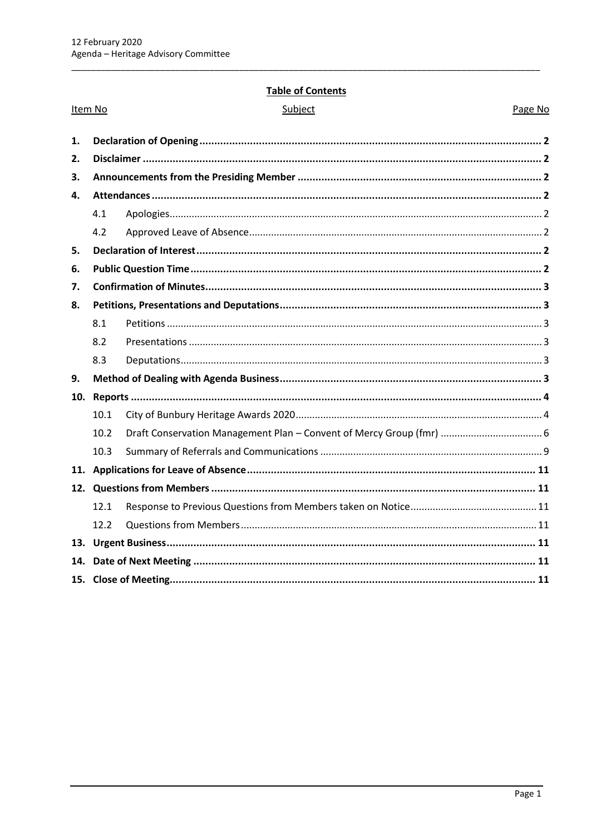Item No

# **Table of Contents**

| ibie |  |
|------|--|
|      |  |

Page No

| 1.  |      |                                                                      |  |
|-----|------|----------------------------------------------------------------------|--|
| 2.  |      |                                                                      |  |
| З.  |      |                                                                      |  |
| 4.  |      |                                                                      |  |
|     | 4.1  |                                                                      |  |
|     | 4.2  |                                                                      |  |
| 5.  |      |                                                                      |  |
| 6.  |      |                                                                      |  |
| 7.  |      |                                                                      |  |
| 8.  |      |                                                                      |  |
|     | 8.1  |                                                                      |  |
|     | 8.2  |                                                                      |  |
|     | 8.3  |                                                                      |  |
| 9.  |      |                                                                      |  |
| 10. |      |                                                                      |  |
|     | 10.1 |                                                                      |  |
|     | 10.2 | Draft Conservation Management Plan - Convent of Mercy Group (fmr)  6 |  |
|     | 10.3 |                                                                      |  |
|     |      |                                                                      |  |
|     |      |                                                                      |  |
|     | 12.1 |                                                                      |  |
|     | 12.2 |                                                                      |  |
|     |      |                                                                      |  |
| 14. |      |                                                                      |  |
|     |      |                                                                      |  |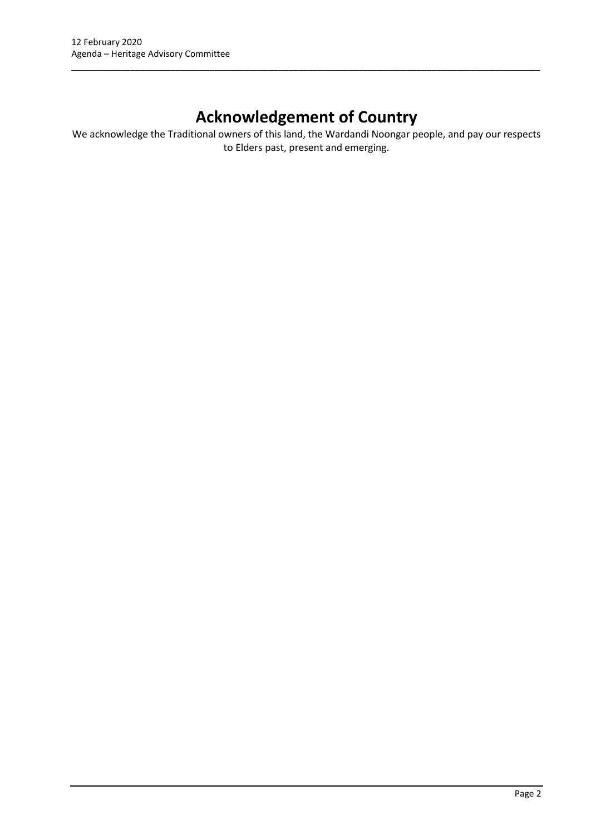# **Acknowledgement of Country**

\_\_\_\_\_\_\_\_\_\_\_\_\_\_\_\_\_\_\_\_\_\_\_\_\_\_\_\_\_\_\_\_\_\_\_\_\_\_\_\_\_\_\_\_\_\_\_\_\_\_\_\_\_\_\_\_\_\_\_\_\_\_\_\_\_\_\_\_\_\_\_\_\_\_\_\_\_\_\_\_\_\_\_\_\_\_\_\_\_\_\_\_\_\_\_

We acknowledge the Traditional owners of this land, the Wardandi Noongar people, and pay our respects to Elders past, present and emerging.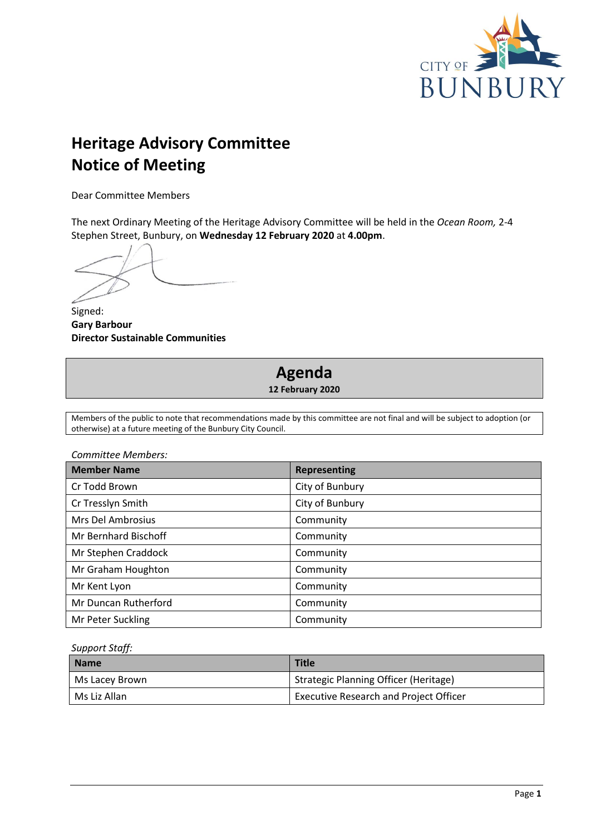

# **Heritage Advisory Committee Notice of Meeting**

Dear Committee Members

The next Ordinary Meeting of the Heritage Advisory Committee will be held in the *Ocean Room,* 2-4 Stephen Street, Bunbury, on **Wednesday 12 February 2020** at **4.00pm**.

Signed: **Gary Barbour Director Sustainable Communities**

# **Agenda**

**12 February 2020**

Members of the public to note that recommendations made by this committee are not final and will be subject to adoption (or otherwise) at a future meeting of the Bunbury City Council.

| Committee Members:       |                     |
|--------------------------|---------------------|
| <b>Member Name</b>       | <b>Representing</b> |
| Cr Todd Brown            | City of Bunbury     |
| Cr Tresslyn Smith        | City of Bunbury     |
| <b>Mrs Del Ambrosius</b> | Community           |
| Mr Bernhard Bischoff     | Community           |
| Mr Stephen Craddock      | Community           |
| Mr Graham Houghton       | Community           |
| Mr Kent Lyon             | Community           |
| Mr Duncan Rutherford     | Community           |
| Mr Peter Suckling        | Community           |

#### *Support Staff:*

| <b>Name</b>    | <b>Title</b>                                  |
|----------------|-----------------------------------------------|
| Ms Lacey Brown | Strategic Planning Officer (Heritage)         |
| Ms Liz Allan   | <b>Executive Research and Project Officer</b> |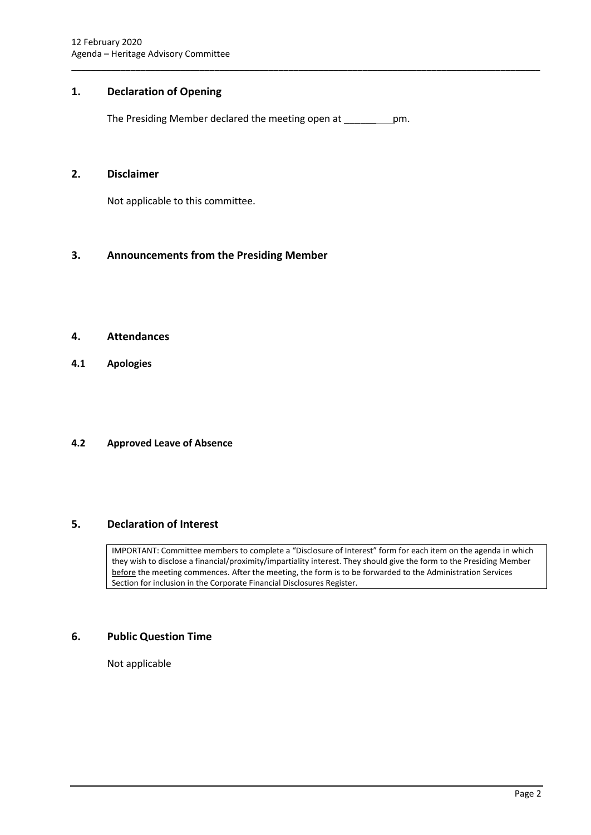# <span id="page-4-0"></span>**1. Declaration of Opening**

The Presiding Member declared the meeting open at \_\_\_\_\_\_ pm.

\_\_\_\_\_\_\_\_\_\_\_\_\_\_\_\_\_\_\_\_\_\_\_\_\_\_\_\_\_\_\_\_\_\_\_\_\_\_\_\_\_\_\_\_\_\_\_\_\_\_\_\_\_\_\_\_\_\_\_\_\_\_\_\_\_\_\_\_\_\_\_\_\_\_\_\_\_\_\_\_\_\_\_\_\_\_\_\_\_\_\_\_\_\_\_

#### <span id="page-4-1"></span>**2. Disclaimer**

Not applicable to this committee.

# <span id="page-4-2"></span>**3. Announcements from the Presiding Member**

#### <span id="page-4-3"></span>**4. Attendances**

<span id="page-4-4"></span>**4.1 Apologies**

#### <span id="page-4-5"></span>**4.2 Approved Leave of Absence**

# <span id="page-4-6"></span>**5. Declaration of Interest**

IMPORTANT: Committee members to complete a "Disclosure of Interest" form for each item on the agenda in which they wish to disclose a financial/proximity/impartiality interest. They should give the form to the Presiding Member before the meeting commences. After the meeting, the form is to be forwarded to the Administration Services Section for inclusion in the Corporate Financial Disclosures Register.

# <span id="page-4-7"></span>**6. Public Question Time**

Not applicable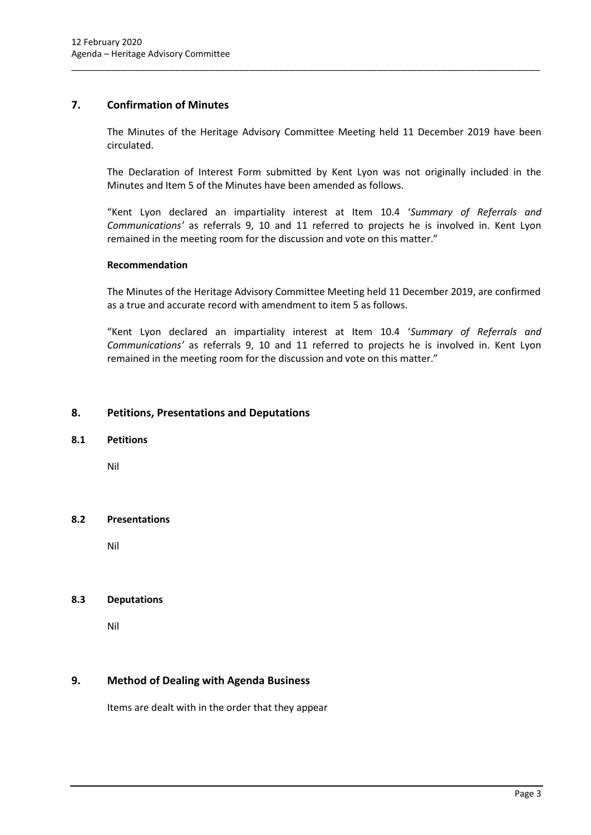# <span id="page-5-0"></span>**7. Confirmation of Minutes**

The Minutes of the Heritage Advisory Committee Meeting held 11 December 2019 have been circulated.

\_\_\_\_\_\_\_\_\_\_\_\_\_\_\_\_\_\_\_\_\_\_\_\_\_\_\_\_\_\_\_\_\_\_\_\_\_\_\_\_\_\_\_\_\_\_\_\_\_\_\_\_\_\_\_\_\_\_\_\_\_\_\_\_\_\_\_\_\_\_\_\_\_\_\_\_\_\_\_\_\_\_\_\_\_\_\_\_\_\_\_\_\_\_\_

The Declaration of Interest Form submitted by Kent Lyon was not originally included in the Minutes and Item 5 of the Minutes have been amended as follows.

"Kent Lyon declared an impartiality interest at Item 10.4 '*Summary of Referrals and Communications'* as referrals 9, 10 and 11 referred to projects he is involved in. Kent Lyon remained in the meeting room for the discussion and vote on this matter."

# **Recommendation**

The Minutes of the Heritage Advisory Committee Meeting held 11 December 2019, are confirmed as a true and accurate record with amendment to item 5 as follows.

"Kent Lyon declared an impartiality interest at Item 10.4 '*Summary of Referrals and Communications'* as referrals 9, 10 and 11 referred to projects he is involved in. Kent Lyon remained in the meeting room for the discussion and vote on this matter."

# <span id="page-5-1"></span>**8. Petitions, Presentations and Deputations**

#### <span id="page-5-2"></span>**8.1 Petitions**

Nil

# <span id="page-5-3"></span>**8.2 Presentations**

Nil

# <span id="page-5-4"></span>**8.3 Deputations**

Nil

# <span id="page-5-5"></span>**9. Method of Dealing with Agenda Business**

Items are dealt with in the order that they appear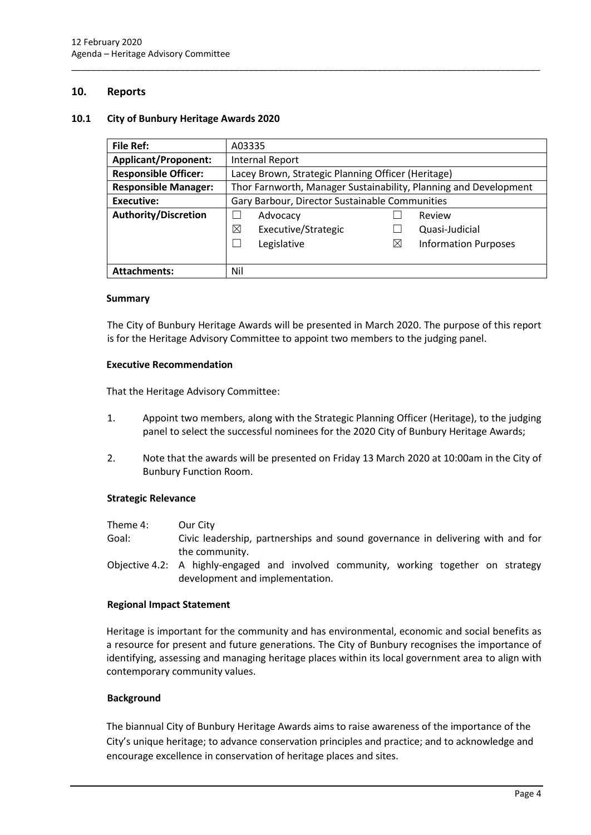# <span id="page-6-0"></span>**10. Reports**

#### <span id="page-6-1"></span>**10.1 City of Bunbury Heritage Awards 2020**

| <b>File Ref:</b>            | A03335                                                           |   |                             |
|-----------------------------|------------------------------------------------------------------|---|-----------------------------|
| <b>Applicant/Proponent:</b> | <b>Internal Report</b>                                           |   |                             |
| <b>Responsible Officer:</b> | Lacey Brown, Strategic Planning Officer (Heritage)               |   |                             |
| <b>Responsible Manager:</b> | Thor Farnworth, Manager Sustainability, Planning and Development |   |                             |
| <b>Executive:</b>           | Gary Barbour, Director Sustainable Communities                   |   |                             |
| <b>Authority/Discretion</b> | Advocacy                                                         |   | Review                      |
|                             | ⊠<br>Executive/Strategic                                         |   | Quasi-Judicial              |
|                             | Legislative                                                      | ⊠ | <b>Information Purposes</b> |
|                             |                                                                  |   |                             |
| <b>Attachments:</b>         | Nil                                                              |   |                             |

\_\_\_\_\_\_\_\_\_\_\_\_\_\_\_\_\_\_\_\_\_\_\_\_\_\_\_\_\_\_\_\_\_\_\_\_\_\_\_\_\_\_\_\_\_\_\_\_\_\_\_\_\_\_\_\_\_\_\_\_\_\_\_\_\_\_\_\_\_\_\_\_\_\_\_\_\_\_\_\_\_\_\_\_\_\_\_\_\_\_\_\_\_\_\_

#### **Summary**

The City of Bunbury Heritage Awards will be presented in March 2020. The purpose of this report is for the Heritage Advisory Committee to appoint two members to the judging panel.

#### **Executive Recommendation**

That the Heritage Advisory Committee:

- 1. Appoint two members, along with the Strategic Planning Officer (Heritage), to the judging panel to select the successful nominees for the 2020 City of Bunbury Heritage Awards;
- 2. Note that the awards will be presented on Friday 13 March 2020 at 10:00am in the City of Bunbury Function Room.

#### **Strategic Relevance**

- Theme 4: Our City
- Goal: Civic leadership, partnerships and sound governance in delivering with and for the community.
- Objective 4.2: A highly-engaged and involved community, working together on strategy development and implementation.

#### **Regional Impact Statement**

Heritage is important for the community and has environmental, economic and social benefits as a resource for present and future generations. The City of Bunbury recognises the importance of identifying, assessing and managing heritage places within its local government area to align with contemporary community values.

#### **Background**

The biannual City of Bunbury Heritage Awards aims to raise awareness of the importance of the City's unique heritage; to advance conservation principles and practice; and to acknowledge and encourage excellence in conservation of heritage places and sites.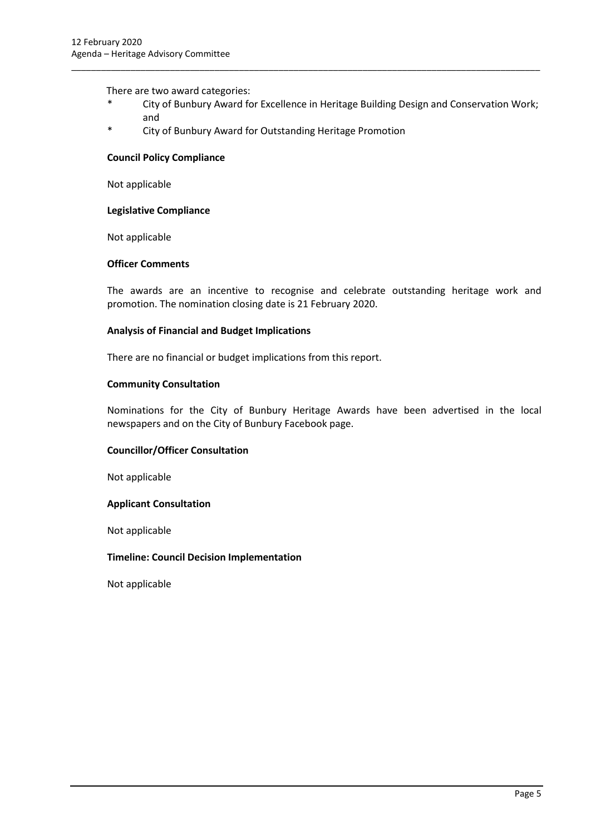There are two award categories:

\* City of Bunbury Award for Excellence in Heritage Building Design and Conservation Work; and

\_\_\_\_\_\_\_\_\_\_\_\_\_\_\_\_\_\_\_\_\_\_\_\_\_\_\_\_\_\_\_\_\_\_\_\_\_\_\_\_\_\_\_\_\_\_\_\_\_\_\_\_\_\_\_\_\_\_\_\_\_\_\_\_\_\_\_\_\_\_\_\_\_\_\_\_\_\_\_\_\_\_\_\_\_\_\_\_\_\_\_\_\_\_\_

\* City of Bunbury Award for Outstanding Heritage Promotion

#### **Council Policy Compliance**

Not applicable

#### **Legislative Compliance**

Not applicable

#### **Officer Comments**

The awards are an incentive to recognise and celebrate outstanding heritage work and promotion. The nomination closing date is 21 February 2020.

#### **Analysis of Financial and Budget Implications**

There are no financial or budget implications from this report.

#### **Community Consultation**

Nominations for the City of Bunbury Heritage Awards have been advertised in the local newspapers and on the City of Bunbury Facebook page.

#### **Councillor/Officer Consultation**

Not applicable

#### **Applicant Consultation**

Not applicable

#### **Timeline: Council Decision Implementation**

Not applicable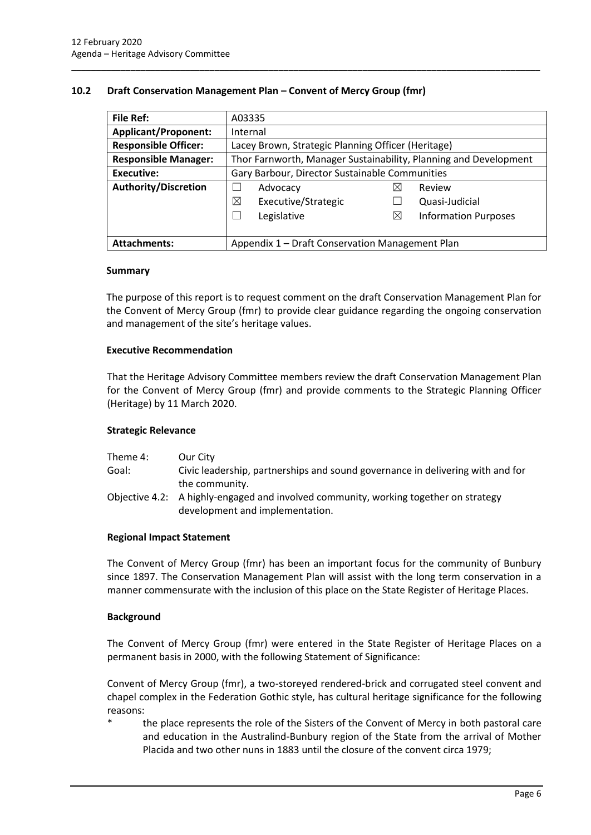# <span id="page-8-0"></span>**10.2 Draft Conservation Management Plan – Convent of Mercy Group (fmr)**

| <b>File Ref:</b>            | A03335                                                           |                                  |  |
|-----------------------------|------------------------------------------------------------------|----------------------------------|--|
| <b>Applicant/Proponent:</b> | Internal                                                         |                                  |  |
| <b>Responsible Officer:</b> | Lacey Brown, Strategic Planning Officer (Heritage)               |                                  |  |
| <b>Responsible Manager:</b> | Thor Farnworth, Manager Sustainability, Planning and Development |                                  |  |
| <b>Executive:</b>           | Gary Barbour, Director Sustainable Communities                   |                                  |  |
| <b>Authority/Discretion</b> | Advocacy                                                         | Review<br>⋈                      |  |
|                             | ⊠<br>Executive/Strategic                                         | Quasi-Judicial                   |  |
|                             | Legislative<br>$\overline{\phantom{0}}$                          | ⊠<br><b>Information Purposes</b> |  |
|                             |                                                                  |                                  |  |
| <b>Attachments:</b>         | Appendix 1 - Draft Conservation Management Plan                  |                                  |  |

\_\_\_\_\_\_\_\_\_\_\_\_\_\_\_\_\_\_\_\_\_\_\_\_\_\_\_\_\_\_\_\_\_\_\_\_\_\_\_\_\_\_\_\_\_\_\_\_\_\_\_\_\_\_\_\_\_\_\_\_\_\_\_\_\_\_\_\_\_\_\_\_\_\_\_\_\_\_\_\_\_\_\_\_\_\_\_\_\_\_\_\_\_\_\_

#### **Summary**

The purpose of this report is to request comment on the draft Conservation Management Plan for the Convent of Mercy Group (fmr) to provide clear guidance regarding the ongoing conservation and management of the site's heritage values.

#### **Executive Recommendation**

That the Heritage Advisory Committee members review the draft Conservation Management Plan for the Convent of Mercy Group (fmr) and provide comments to the Strategic Planning Officer (Heritage) by 11 March 2020.

#### **Strategic Relevance**

| Theme 4: | Our City                                                                                                                |
|----------|-------------------------------------------------------------------------------------------------------------------------|
| Goal:    | Civic leadership, partnerships and sound governance in delivering with and for                                          |
|          | the community.                                                                                                          |
|          | Objective 4.2: A highly-engaged and involved community, working together on strategy<br>development and implementation. |

#### **Regional Impact Statement**

The Convent of Mercy Group (fmr) has been an important focus for the community of Bunbury since 1897. The Conservation Management Plan will assist with the long term conservation in a manner commensurate with the inclusion of this place on the State Register of Heritage Places.

#### **Background**

The Convent of Mercy Group (fmr) were entered in the State Register of Heritage Places on a permanent basis in 2000, with the following Statement of Significance:

Convent of Mercy Group (fmr), a two-storeyed rendered-brick and corrugated steel convent and chapel complex in the Federation Gothic style, has cultural heritage significance for the following reasons:

the place represents the role of the Sisters of the Convent of Mercy in both pastoral care and education in the Australind-Bunbury region of the State from the arrival of Mother Placida and two other nuns in 1883 until the closure of the convent circa 1979;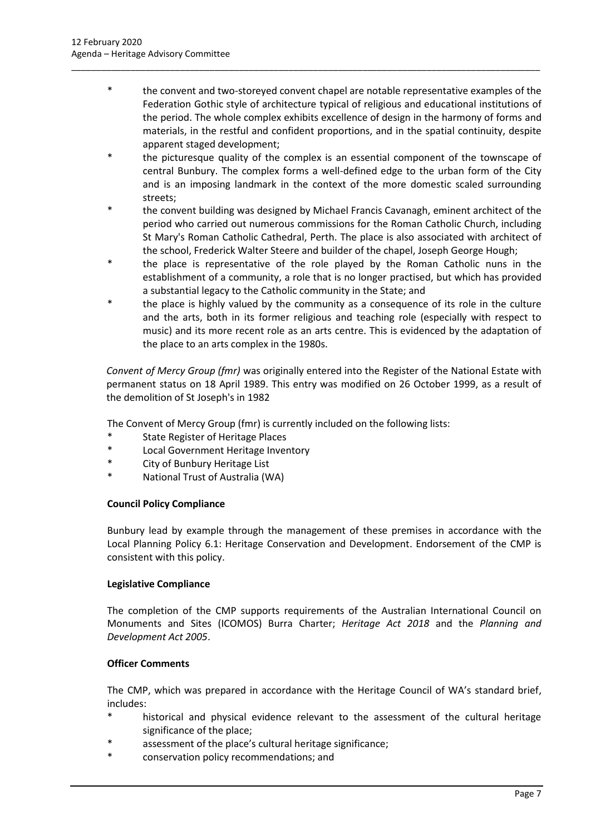the convent and two-storeyed convent chapel are notable representative examples of the Federation Gothic style of architecture typical of religious and educational institutions of the period. The whole complex exhibits excellence of design in the harmony of forms and materials, in the restful and confident proportions, and in the spatial continuity, despite apparent staged development;

\_\_\_\_\_\_\_\_\_\_\_\_\_\_\_\_\_\_\_\_\_\_\_\_\_\_\_\_\_\_\_\_\_\_\_\_\_\_\_\_\_\_\_\_\_\_\_\_\_\_\_\_\_\_\_\_\_\_\_\_\_\_\_\_\_\_\_\_\_\_\_\_\_\_\_\_\_\_\_\_\_\_\_\_\_\_\_\_\_\_\_\_\_\_\_

- \* the picturesque quality of the complex is an essential component of the townscape of central Bunbury. The complex forms a well-defined edge to the urban form of the City and is an imposing landmark in the context of the more domestic scaled surrounding streets;
- the convent building was designed by Michael Francis Cavanagh, eminent architect of the period who carried out numerous commissions for the Roman Catholic Church, including St Mary's Roman Catholic Cathedral, Perth. The place is also associated with architect of the school, Frederick Walter Steere and builder of the chapel, Joseph George Hough;
- the place is representative of the role played by the Roman Catholic nuns in the establishment of a community, a role that is no longer practised, but which has provided a substantial legacy to the Catholic community in the State; and
- \* the place is highly valued by the community as a consequence of its role in the culture and the arts, both in its former religious and teaching role (especially with respect to music) and its more recent role as an arts centre. This is evidenced by the adaptation of the place to an arts complex in the 1980s.

*Convent of Mercy Group (fmr)* was originally entered into the Register of the National Estate with permanent status on 18 April 1989. This entry was modified on 26 October 1999, as a result of the demolition of St Joseph's in 1982

The Convent of Mercy Group (fmr) is currently included on the following lists:

- \* State Register of Heritage Places
- \* Local Government Heritage Inventory
- City of Bunbury Heritage List
- \* National Trust of Australia (WA)

# **Council Policy Compliance**

Bunbury lead by example through the management of these premises in accordance with the Local Planning Policy 6.1: Heritage Conservation and Development. Endorsement of the CMP is consistent with this policy.

# **Legislative Compliance**

The completion of the CMP supports requirements of the Australian International Council on Monuments and Sites (ICOMOS) Burra Charter; *Heritage Act 2018* and the *Planning and Development Act 2005*.

#### **Officer Comments**

The CMP, which was prepared in accordance with the Heritage Council of WA's standard brief, includes:

- historical and physical evidence relevant to the assessment of the cultural heritage significance of the place;
- \* assessment of the place's cultural heritage significance;
- conservation policy recommendations; and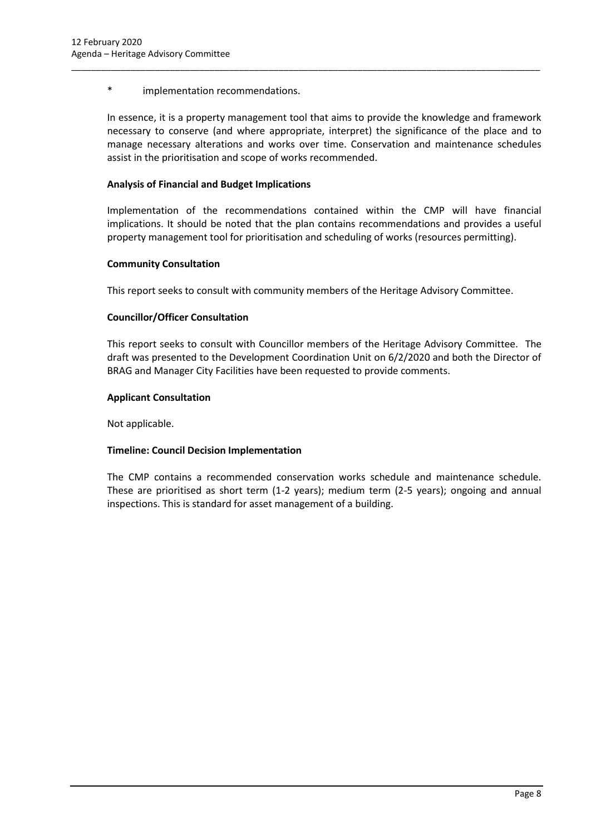\* implementation recommendations.

In essence, it is a property management tool that aims to provide the knowledge and framework necessary to conserve (and where appropriate, interpret) the significance of the place and to manage necessary alterations and works over time. Conservation and maintenance schedules assist in the prioritisation and scope of works recommended.

\_\_\_\_\_\_\_\_\_\_\_\_\_\_\_\_\_\_\_\_\_\_\_\_\_\_\_\_\_\_\_\_\_\_\_\_\_\_\_\_\_\_\_\_\_\_\_\_\_\_\_\_\_\_\_\_\_\_\_\_\_\_\_\_\_\_\_\_\_\_\_\_\_\_\_\_\_\_\_\_\_\_\_\_\_\_\_\_\_\_\_\_\_\_\_

# **Analysis of Financial and Budget Implications**

Implementation of the recommendations contained within the CMP will have financial implications. It should be noted that the plan contains recommendations and provides a useful property management tool for prioritisation and scheduling of works (resources permitting).

#### **Community Consultation**

This report seeks to consult with community members of the Heritage Advisory Committee.

# **Councillor/Officer Consultation**

This report seeks to consult with Councillor members of the Heritage Advisory Committee. The draft was presented to the Development Coordination Unit on 6/2/2020 and both the Director of BRAG and Manager City Facilities have been requested to provide comments.

#### **Applicant Consultation**

Not applicable.

#### **Timeline: Council Decision Implementation**

The CMP contains a recommended conservation works schedule and maintenance schedule. These are prioritised as short term (1-2 years); medium term (2-5 years); ongoing and annual inspections. This is standard for asset management of a building.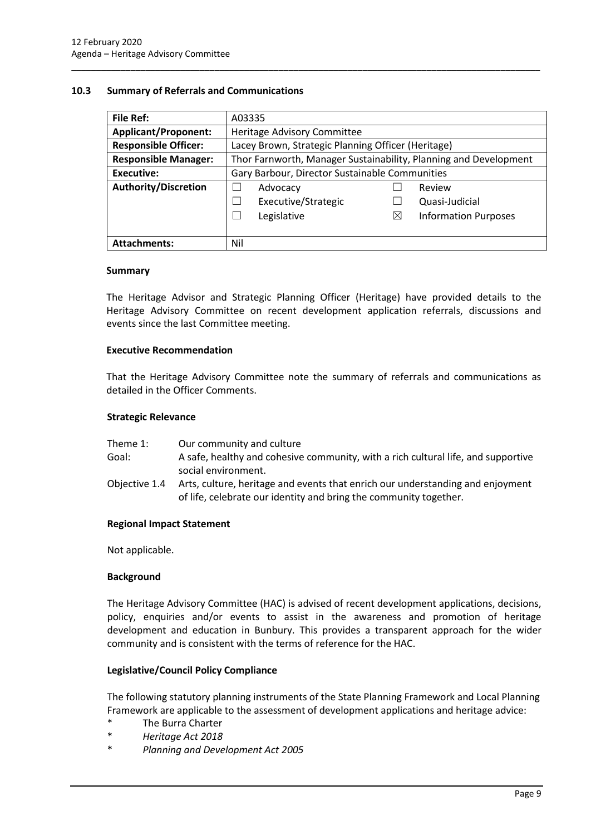#### <span id="page-11-0"></span>**10.3 Summary of Referrals and Communications**

| <b>File Ref:</b>            | A03335                                                           |             |                             |
|-----------------------------|------------------------------------------------------------------|-------------|-----------------------------|
| <b>Applicant/Proponent:</b> | Heritage Advisory Committee                                      |             |                             |
| <b>Responsible Officer:</b> | Lacey Brown, Strategic Planning Officer (Heritage)               |             |                             |
| <b>Responsible Manager:</b> | Thor Farnworth, Manager Sustainability, Planning and Development |             |                             |
| <b>Executive:</b>           | Gary Barbour, Director Sustainable Communities                   |             |                             |
| <b>Authority/Discretion</b> | Advocacy                                                         |             | Review                      |
|                             | Executive/Strategic                                              |             | Quasi-Judicial              |
|                             | Legislative                                                      | $\boxtimes$ | <b>Information Purposes</b> |
|                             |                                                                  |             |                             |
| <b>Attachments:</b>         | Nil                                                              |             |                             |

\_\_\_\_\_\_\_\_\_\_\_\_\_\_\_\_\_\_\_\_\_\_\_\_\_\_\_\_\_\_\_\_\_\_\_\_\_\_\_\_\_\_\_\_\_\_\_\_\_\_\_\_\_\_\_\_\_\_\_\_\_\_\_\_\_\_\_\_\_\_\_\_\_\_\_\_\_\_\_\_\_\_\_\_\_\_\_\_\_\_\_\_\_\_\_

#### **Summary**

The Heritage Advisor and Strategic Planning Officer (Heritage) have provided details to the Heritage Advisory Committee on recent development application referrals, discussions and events since the last Committee meeting.

#### **Executive Recommendation**

That the Heritage Advisory Committee note the summary of referrals and communications as detailed in the Officer Comments.

#### **Strategic Relevance**

| Theme 1:      | Our community and culture                                                                                                                           |
|---------------|-----------------------------------------------------------------------------------------------------------------------------------------------------|
| Goal:         | A safe, healthy and cohesive community, with a rich cultural life, and supportive                                                                   |
|               | social environment.                                                                                                                                 |
| Objective 1.4 | Arts, culture, heritage and events that enrich our understanding and enjoyment<br>of life, celebrate our identity and bring the community together. |

#### **Regional Impact Statement**

Not applicable.

#### **Background**

The Heritage Advisory Committee (HAC) is advised of recent development applications, decisions, policy, enquiries and/or events to assist in the awareness and promotion of heritage development and education in Bunbury. This provides a transparent approach for the wider community and is consistent with the terms of reference for the HAC.

#### **Legislative/Council Policy Compliance**

The following statutory planning instruments of the State Planning Framework and Local Planning Framework are applicable to the assessment of development applications and heritage advice:

- \* The Burra Charter
- \* *Heritage Act 2018*
- \* *Planning and Development Act 2005*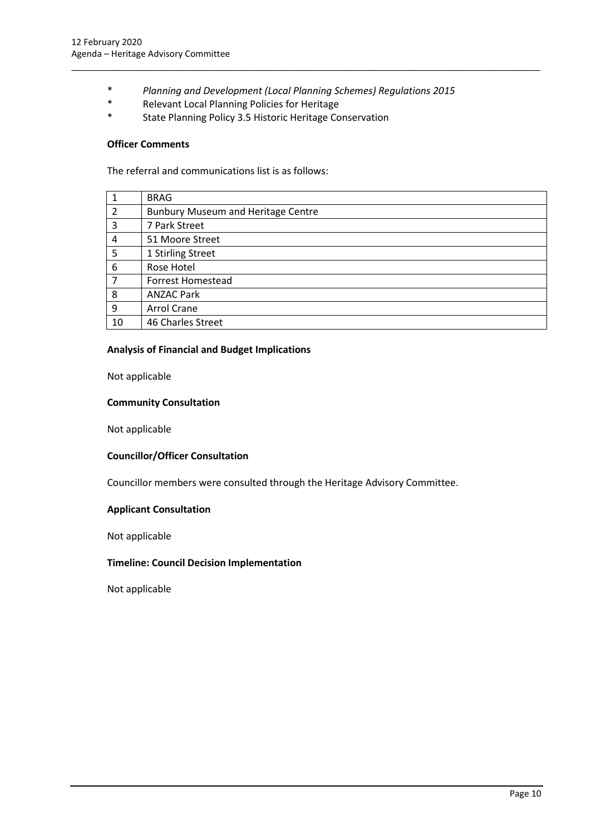\* *Planning and Development (Local Planning Schemes) Regulations 2015*

\_\_\_\_\_\_\_\_\_\_\_\_\_\_\_\_\_\_\_\_\_\_\_\_\_\_\_\_\_\_\_\_\_\_\_\_\_\_\_\_\_\_\_\_\_\_\_\_\_\_\_\_\_\_\_\_\_\_\_\_\_\_\_\_\_\_\_\_\_\_\_\_\_\_\_\_\_\_\_\_\_\_\_\_\_\_\_\_\_\_\_\_\_\_\_

- \* Relevant Local Planning Policies for Heritage
- State Planning Policy 3.5 Historic Heritage Conservation

#### **Officer Comments**

The referral and communications list is as follows:

|    | <b>BRAG</b>                               |
|----|-------------------------------------------|
| 2  | <b>Bunbury Museum and Heritage Centre</b> |
| 3  | 7 Park Street                             |
| 4  | 51 Moore Street                           |
| 5  | 1 Stirling Street                         |
| 6  | Rose Hotel                                |
| 7  | <b>Forrest Homestead</b>                  |
| 8  | <b>ANZAC Park</b>                         |
| 9  | Arrol Crane                               |
| 10 | 46 Charles Street                         |

#### **Analysis of Financial and Budget Implications**

Not applicable

#### **Community Consultation**

Not applicable

#### **Councillor/Officer Consultation**

Councillor members were consulted through the Heritage Advisory Committee.

#### **Applicant Consultation**

Not applicable

#### **Timeline: Council Decision Implementation**

Not applicable